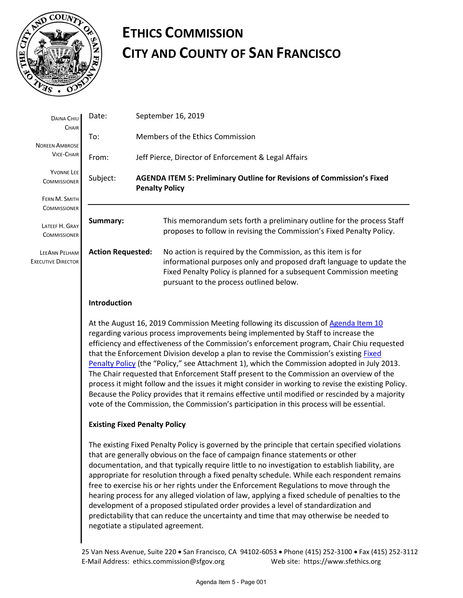

## **ETHICS COMMISSION CITY AND COUNTY OF SAN FRANCISCO**

| DAINA CHIU<br>CHAIR                        | Date:                                                                                                                                                                                                                                                                                                                                                                                                                                                                                                                                                                                                                                                                                                                                                                                                                                                                    |  | September 16, 2019                                                                                                                                                                                                                                      |
|--------------------------------------------|--------------------------------------------------------------------------------------------------------------------------------------------------------------------------------------------------------------------------------------------------------------------------------------------------------------------------------------------------------------------------------------------------------------------------------------------------------------------------------------------------------------------------------------------------------------------------------------------------------------------------------------------------------------------------------------------------------------------------------------------------------------------------------------------------------------------------------------------------------------------------|--|---------------------------------------------------------------------------------------------------------------------------------------------------------------------------------------------------------------------------------------------------------|
| <b>NOREEN AMBROSE</b><br><b>VICE-CHAIR</b> | To:                                                                                                                                                                                                                                                                                                                                                                                                                                                                                                                                                                                                                                                                                                                                                                                                                                                                      |  | Members of the Ethics Commission                                                                                                                                                                                                                        |
|                                            | From:                                                                                                                                                                                                                                                                                                                                                                                                                                                                                                                                                                                                                                                                                                                                                                                                                                                                    |  | Jeff Pierce, Director of Enforcement & Legal Affairs                                                                                                                                                                                                    |
| <b>YVONNE LEE</b><br><b>COMMISSIONER</b>   | <b>AGENDA ITEM 5: Preliminary Outline for Revisions of Commission's Fixed</b><br>Subject:<br><b>Penalty Policy</b>                                                                                                                                                                                                                                                                                                                                                                                                                                                                                                                                                                                                                                                                                                                                                       |  |                                                                                                                                                                                                                                                         |
| FERN M. SMITH                              |                                                                                                                                                                                                                                                                                                                                                                                                                                                                                                                                                                                                                                                                                                                                                                                                                                                                          |  |                                                                                                                                                                                                                                                         |
| <b>COMMISSIONER</b>                        |                                                                                                                                                                                                                                                                                                                                                                                                                                                                                                                                                                                                                                                                                                                                                                                                                                                                          |  |                                                                                                                                                                                                                                                         |
| LATEEF H. GRAY<br><b>COMMISSIONER</b>      | Summary:                                                                                                                                                                                                                                                                                                                                                                                                                                                                                                                                                                                                                                                                                                                                                                                                                                                                 |  | This memorandum sets forth a preliminary outline for the process Staff<br>proposes to follow in revising the Commission's Fixed Penalty Policy.                                                                                                         |
| LEEANN PELHAM<br><b>EXECUTIVE DIRECTOR</b> | <b>Action Requested:</b>                                                                                                                                                                                                                                                                                                                                                                                                                                                                                                                                                                                                                                                                                                                                                                                                                                                 |  | No action is required by the Commission, as this item is for<br>informational purposes only and proposed draft language to update the<br>Fixed Penalty Policy is planned for a subsequent Commission meeting<br>pursuant to the process outlined below. |
|                                            | Introduction                                                                                                                                                                                                                                                                                                                                                                                                                                                                                                                                                                                                                                                                                                                                                                                                                                                             |  |                                                                                                                                                                                                                                                         |
|                                            | At the August 16, 2019 Commission Meeting following its discussion of Agenda Item 10<br>regarding various process improvements being implemented by Staff to increase the<br>efficiency and effectiveness of the Commission's enforcement program, Chair Chiu requested<br>that the Enforcement Division develop a plan to revise the Commission's existing <b>Fixed</b><br>Penalty Policy (the "Policy," see Attachment 1), which the Commission adopted in July 2013.<br>The Chair requested that Enforcement Staff present to the Commission an overview of the<br>process it might follow and the issues it might consider in working to revise the existing Policy.<br>Because the Policy provides that it remains effective until modified or rescinded by a majority<br>vote of the Commission, the Commission's participation in this process will be essential. |  |                                                                                                                                                                                                                                                         |
|                                            | <b>Existing Fixed Penalty Policy</b>                                                                                                                                                                                                                                                                                                                                                                                                                                                                                                                                                                                                                                                                                                                                                                                                                                     |  |                                                                                                                                                                                                                                                         |
|                                            | The existing Fixed Penalty Policy is governed by the principle that certain specified violations<br>that are generally obvious on the face of campaign finance statements or other<br>documentation, and that typically require little to no investigation to establish liability, are                                                                                                                                                                                                                                                                                                                                                                                                                                                                                                                                                                                   |  |                                                                                                                                                                                                                                                         |

appropriate for resolution through a fixed penalty schedule. While each respondent remains free to exercise his or her rights under the Enforcement Regulations to move through the hearing process for any alleged violation of law, applying a fixed schedule of penalties to the development of a proposed stipulated order provides a level of standardization and predictability that can reduce the uncertainty and time that may otherwise be needed to negotiate a stipulated agreement.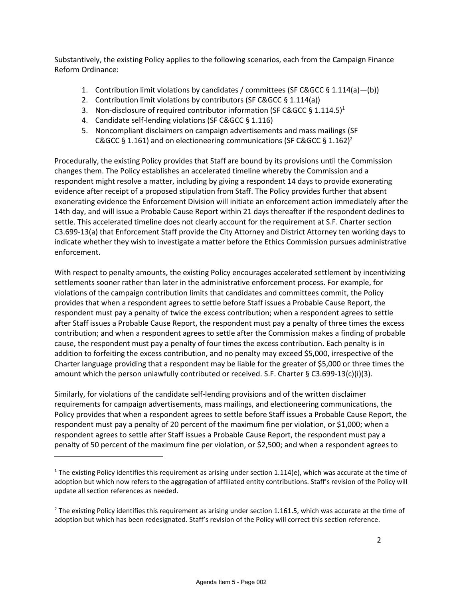Substantively, the existing Policy applies to the following scenarios, each from the Campaign Finance Reform Ordinance:

- 1. Contribution limit violations by candidates / committees (SF C&GCC § 1.114(a)-(b))
- 2. Contribution limit violations by contributors (SF C&GCC § 1.114(a))
- 3. Non-disclosure of required contributor information (SF C&GCC § 1.114.5)<sup>1</sup>
- 4. Candidate self-lending violations (SF C&GCC § 1.116)
- 5. Noncompliant disclaimers on campaign advertisements and mass mailings (SF C&GCC § 1.161) and on electioneering communications (SF C&GCC § 1.162)<sup>2</sup>

Procedurally, the existing Policy provides that Staff are bound by its provisions until the Commission changes them. The Policy establishes an accelerated timeline whereby the Commission and a respondent might resolve a matter, including by giving a respondent 14 days to provide exonerating evidence after receipt of a proposed stipulation from Staff. The Policy provides further that absent exonerating evidence the Enforcement Division will initiate an enforcement action immediately after the 14th day, and will issue a Probable Cause Report within 21 days thereafter if the respondent declines to settle. This accelerated timeline does not clearly account for the requirement at S.F. Charter section C3.699-13(a) that Enforcement Staff provide the City Attorney and District Attorney ten working days to indicate whether they wish to investigate a matter before the Ethics Commission pursues administrative enforcement.

With respect to penalty amounts, the existing Policy encourages accelerated settlement by incentivizing settlements sooner rather than later in the administrative enforcement process. For example, for violations of the campaign contribution limits that candidates and committees commit, the Policy provides that when a respondent agrees to settle before Staff issues a Probable Cause Report, the respondent must pay a penalty of twice the excess contribution; when a respondent agrees to settle after Staff issues a Probable Cause Report, the respondent must pay a penalty of three times the excess contribution; and when a respondent agrees to settle after the Commission makes a finding of probable cause, the respondent must pay a penalty of four times the excess contribution. Each penalty is in addition to forfeiting the excess contribution, and no penalty may exceed \$5,000, irrespective of the Charter language providing that a respondent may be liable for the greater of \$5,000 or three times the amount which the person unlawfully contributed or received. S.F. Charter § C3.699-13(c)(i)(3).

Similarly, for violations of the candidate self-lending provisions and of the written disclaimer requirements for campaign advertisements, mass mailings, and electioneering communications, the Policy provides that when a respondent agrees to settle before Staff issues a Probable Cause Report, the respondent must pay a penalty of 20 percent of the maximum fine per violation, or \$1,000; when a respondent agrees to settle after Staff issues a Probable Cause Report, the respondent must pay a penalty of 50 percent of the maximum fine per violation, or \$2,500; and when a respondent agrees to

<sup>&</sup>lt;sup>1</sup> The existing Policy identifies this requirement as arising under section 1.114(e), which was accurate at the time of adoption but which now refers to the aggregation of affiliated entity contributions. Staff's revision of the Policy will update all section references as needed.

 $2$  The existing Policy identifies this requirement as arising under section 1.161.5, which was accurate at the time of adoption but which has been redesignated. Staff's revision of the Policy will correct this section reference.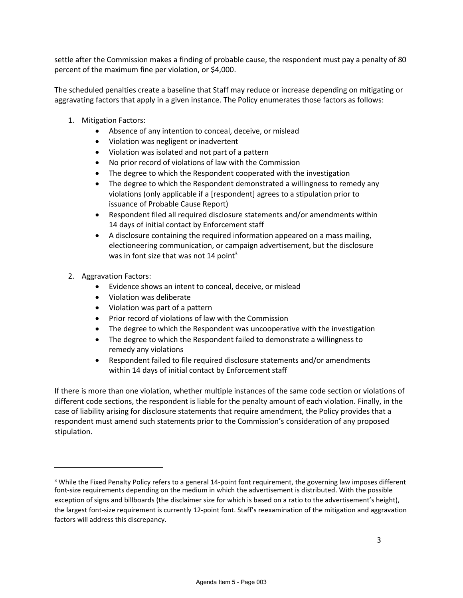settle after the Commission makes a finding of probable cause, the respondent must pay a penalty of 80 percent of the maximum fine per violation, or \$4,000.

The scheduled penalties create a baseline that Staff may reduce or increase depending on mitigating or aggravating factors that apply in a given instance. The Policy enumerates those factors as follows:

- 1. Mitigation Factors:
	- Absence of any intention to conceal, deceive, or mislead
	- Violation was negligent or inadvertent
	- Violation was isolated and not part of a pattern
	- No prior record of violations of law with the Commission
	- The degree to which the Respondent cooperated with the investigation
	- The degree to which the Respondent demonstrated a willingness to remedy any violations (only applicable if a [respondent] agrees to a stipulation prior to issuance of Probable Cause Report)
	- Respondent filed all required disclosure statements and/or amendments within 14 days of initial contact by Enforcement staff
	- A disclosure containing the required information appeared on a mass mailing, electioneering communication, or campaign advertisement, but the disclosure was in font size that was not 14 point<sup>3</sup>
- 2. Aggravation Factors:
	- Evidence shows an intent to conceal, deceive, or mislead
	- Violation was deliberate
	- Violation was part of a pattern
	- Prior record of violations of law with the Commission
	- The degree to which the Respondent was uncooperative with the investigation
	- The degree to which the Respondent failed to demonstrate a willingness to remedy any violations
	- Respondent failed to file required disclosure statements and/or amendments within 14 days of initial contact by Enforcement staff

If there is more than one violation, whether multiple instances of the same code section or violations of different code sections, the respondent is liable for the penalty amount of each violation. Finally, in the case of liability arising for disclosure statements that require amendment, the Policy provides that a respondent must amend such statements prior to the Commission's consideration of any proposed stipulation.

 $3$  While the Fixed Penalty Policy refers to a general 14-point font requirement, the governing law imposes different font-size requirements depending on the medium in which the advertisement is distributed. With the possible exception of signs and billboards (the disclaimer size for which is based on a ratio to the advertisement's height), the largest font-size requirement is currently 12-point font. Staff's reexamination of the mitigation and aggravation factors will address this discrepancy.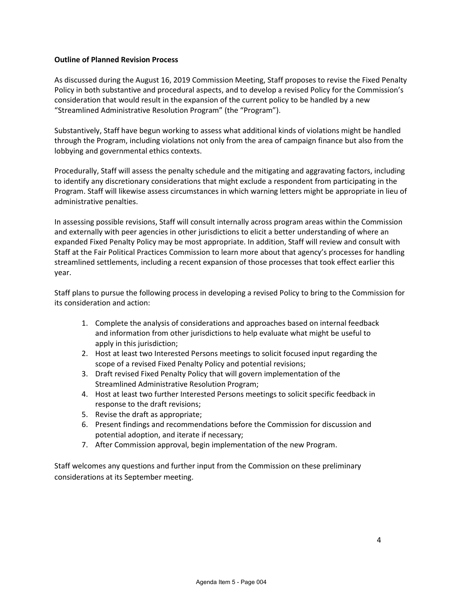#### **Outline of Planned Revision Process**

As discussed during the August 16, 2019 Commission Meeting, Staff proposes to revise the Fixed Penalty Policy in both substantive and procedural aspects, and to develop a revised Policy for the Commission's consideration that would result in the expansion of the current policy to be handled by a new "Streamlined Administrative Resolution Program" (the "Program").

Substantively, Staff have begun working to assess what additional kinds of violations might be handled through the Program, including violations not only from the area of campaign finance but also from the lobbying and governmental ethics contexts.

Procedurally, Staff will assess the penalty schedule and the mitigating and aggravating factors, including to identify any discretionary considerations that might exclude a respondent from participating in the Program. Staff will likewise assess circumstances in which warning letters might be appropriate in lieu of administrative penalties.

In assessing possible revisions, Staff will consult internally across program areas within the Commission and externally with peer agencies in other jurisdictions to elicit a better understanding of where an expanded Fixed Penalty Policy may be most appropriate. In addition, Staff will review and consult with Staff at the Fair Political Practices Commission to learn more about that agency's processes for handling streamlined settlements, including a recent expansion of those processes that took effect earlier this year.

Staff plans to pursue the following process in developing a revised Policy to bring to the Commission for its consideration and action:

- 1. Complete the analysis of considerations and approaches based on internal feedback and information from other jurisdictions to help evaluate what might be useful to apply in this jurisdiction;
- 2. Host at least two Interested Persons meetings to solicit focused input regarding the scope of a revised Fixed Penalty Policy and potential revisions;
- 3. Draft revised Fixed Penalty Policy that will govern implementation of the Streamlined Administrative Resolution Program;
- 4. Host at least two further Interested Persons meetings to solicit specific feedback in response to the draft revisions;
- 5. Revise the draft as appropriate;
- 6. Present findings and recommendations before the Commission for discussion and potential adoption, and iterate if necessary;
- 7. After Commission approval, begin implementation of the new Program.

Staff welcomes any questions and further input from the Commission on these preliminary considerations at its September meeting.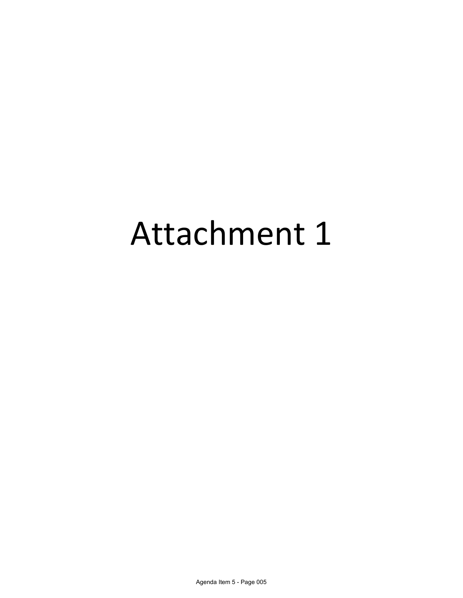# Attachment 1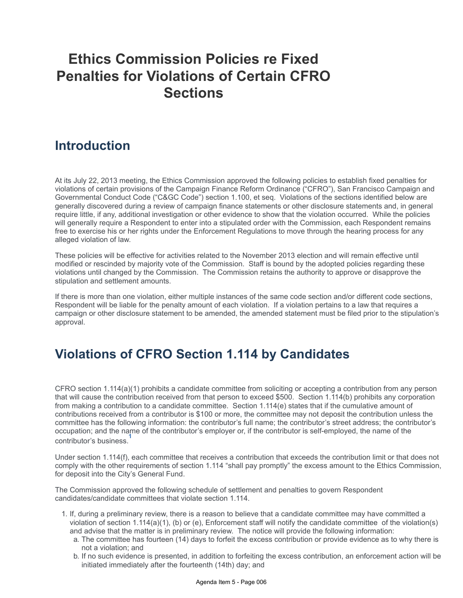## **Ethics Commission Policies re Fixed Penalties for Violations of Certain CFRO Sections**

#### **Introduction**

At its July 22, 2013 meeting, the Ethics Commission approved the following policies to establish fixed penalties for violations of certain provisions of the Campaign Finance Reform Ordinance ("CFRO"), San Francisco Campaign and Governmental Conduct Code ("C&GC Code") section 1.100, et seq. Violations of the sections identified below are generally discovered during a review of campaign finance statements or other disclosure statements and, in general require little, if any, additional investigation or other evidence to show that the violation occurred. While the policies will generally require a Respondent to enter into a stipulated order with the Commission, each Respondent remains free to exercise his or her rights under the Enforcement Regulations to move through the hearing process for any alleged violation of law.

These policies will be effective for activities related to the November 2013 election and will remain effective until modified or rescinded by majority vote of the Commission. Staff is bound by the adopted policies regarding these violations until changed by the Commission. The Commission retains the authority to approve or disapprove the stipulation and settlement amounts.

If there is more than one violation, either multiple instances of the same code section and/or different code sections, Respondent will be liable for the penalty amount of each violation. If a violation pertains to a law that requires a campaign or other disclosure statement to be amended, the amended statement must be filed prior to the stipulation's approval.

#### **Violations of CFRO Section 1.114 by Candidates**

CFRO section 1.114(a)(1) prohibits a candidate committee from soliciting or accepting a contribution from any person that will cause the contribution received from that person to exceed \$500. Section 1.114(b) prohibits any corporation from making a contribution to a candidate committee. Section 1.114(e) states that if the cumulative amount of contributions received from a contributor is \$100 or more, the committee may not deposit the contribution unless the committee has the following information: the contributor's full name; the contributor's street address; the contributor's occupation; and the name of the contributor's employer or, if the contributor is self-employed, the name of the **1** contributor's business[.](https://sfethics.org/ethics/2013/07/ethics-commission-policies-re-fixed-penalties-for-violations-of-certain-cfro-sections.html#_ftn1)

Under section 1.114(f), each committee that receives a contribution that exceeds the contribution limit or that does not comply with the other requirements of section 1.114 "shall pay promptly" the excess amount to the Ethics Commission, for deposit into the City's General Fund.

The Commission approved the following schedule of settlement and penalties to govern Respondent candidates/candidate committees that violate section 1.114.

- 1. If, during a preliminary review, there is a reason to believe that a candidate committee may have committed a violation of section 1.114(a)(1), (b) or (e), Enforcement staff will notify the candidate committee of the violation(s) and advise that the matter is in preliminary review. The notice will provide the following information:
	- a. The committee has fourteen (14) days to forfeit the excess contribution or provide evidence as to why there is not a violation; and
	- b. If no such evidence is presented, in addition to forfeiting the excess contribution, an enforcement action will be initiated immediately after the fourteenth (14th) day; and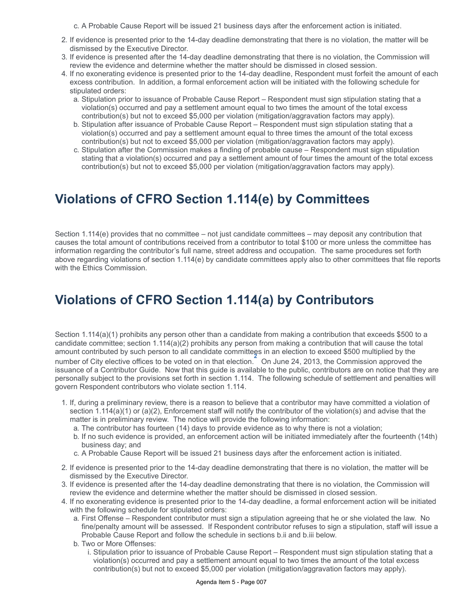c. A Probable Cause Report will be issued 21 business days after the enforcement action is initiated.

- 2. If evidence is presented prior to the 14-day deadline demonstrating that there is no violation, the matter will be dismissed by the Executive Director.
- 3. If evidence is presented after the 14-day deadline demonstrating that there is no violation, the Commission will review the evidence and determine whether the matter should be dismissed in closed session.
- 4. If no exonerating evidence is presented prior to the 14-day deadline, Respondent must forfeit the amount of each excess contribution. In addition, a formal enforcement action will be initiated with the following schedule for stipulated orders:
	- a. Stipulation prior to issuance of Probable Cause Report Respondent must sign stipulation stating that a violation(s) occurred and pay a settlement amount equal to two times the amount of the total excess contribution(s) but not to exceed \$5,000 per violation (mitigation/aggravation factors may apply).
	- b. Stipulation after issuance of Probable Cause Report Respondent must sign stipulation stating that a violation(s) occurred and pay a settlement amount equal to three times the amount of the total excess contribution(s) but not to exceed \$5,000 per violation (mitigation/aggravation factors may apply).
	- c. Stipulation after the Commission makes a finding of probable cause Respondent must sign stipulation stating that a violation(s) occurred and pay a settlement amount of four times the amount of the total excess contribution(s) but not to exceed \$5,000 per violation (mitigation/aggravation factors may apply).

#### **Violations of CFRO Section 1.114(e) by Committees**

Section 1.114(e) provides that no committee – not just candidate committees – may deposit any contribution that causes the total amount of contributions received from a contributor to total \$100 or more unless the committee has information regarding the contributor's full name, street address and occupation. The same procedures set forth above regarding violations of section 1.114(e) by candidate committees apply also to other committees that file reports with the Ethics Commission.

### **Violations of CFRO Section 1.114(a) by Contributors**

Section 1.114(a)(1) prohibits any person other than a candidate from making a contribution that exceeds \$500 to a candidate committee; section 1.114(a)(2) prohibits any person from making a contribution that will cause the total amount contributed by such person to all candidate committegs in an election to exceed \$500 multiplied by the number of City elective offices to be voted on in that election.On June 24, 2013, the Commission approved the **2** issuance of a Contributor Guide. Now that this guide is available to the public, contributors are on notice that they are personally subject to the provisions set forth in section 1.114. The following schedule of settlement and penalties will govern Respondent contributors who violate section 1.114.

- 1. If, during a preliminary review, there is a reason to believe that a contributor may have committed a violation of section 1.114(a)(1) or (a)(2), Enforcement staff will notify the contributor of the violation(s) and advise that the matter is in preliminary review. The notice will provide the following information:
	- a. The contributor has fourteen (14) days to provide evidence as to why there is not a violation;
	- b. If no such evidence is provided, an enforcement action will be initiated immediately after the fourteenth (14th) business day; and
	- c. A Probable Cause Report will be issued 21 business days after the enforcement action is initiated.
- 2. If evidence is presented prior to the 14-day deadline demonstrating that there is no violation, the matter will be dismissed by the Executive Director.
- 3. If evidence is presented after the 14-day deadline demonstrating that there is no violation, the Commission will review the evidence and determine whether the matter should be dismissed in closed session.
- 4. If no exonerating evidence is presented prior to the 14-day deadline, a formal enforcement action will be initiated with the following schedule for stipulated orders:
	- a. First Offense Respondent contributor must sign a stipulation agreeing that he or she violated the law. No fine/penalty amount will be assessed. If Respondent contributor refuses to sign a stipulation, staff will issue a Probable Cause Report and follow the schedule in sections b.ii and b.iii below.
	- b. Two or More Offenses:
		- i. Stipulation prior to issuance of Probable Cause Report Respondent must sign stipulation stating that a violation(s) occurred and pay a settlement amount equal to two times the amount of the total excess contribution(s) but not to exceed \$5,000 per violation (mitigation/aggravation factors may apply).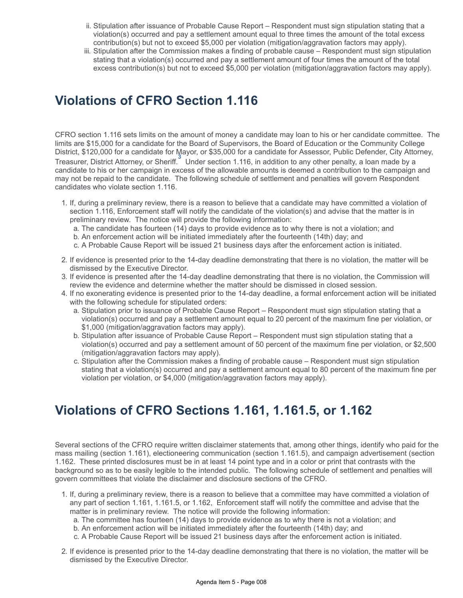- ii. Stipulation after issuance of Probable Cause Report Respondent must sign stipulation stating that a violation(s) occurred and pay a settlement amount equal to three times the amount of the total excess contribution(s) but not to exceed \$5,000 per violation (mitigation/aggravation factors may apply).
- iii. Stipulation after the Commission makes a finding of probable cause Respondent must sign stipulation stating that a violation(s) occurred and pay a settlement amount of four times the amount of the total excess contribution(s) but not to exceed \$5,000 per violation (mitigation/aggravation factors may apply).

#### **Violations of CFRO Section 1.116**

CFRO section 1.116 sets limits on the amount of money a candidate may loan to his or her candidate committee. The limits are \$15,000 for a candidate for the Board of Supervisors, the Board of Education or the Community College District, \$120,000 for a candidate for Mayor, or \$35,000 for a candidate for Assessor, Public Defender, City Attorney, Treasurer, District Attorney, or Sheriff.Under section 1.116, in addition to any other penalty, a loan made by a **3** candidate to his or her campaign in excess of the allowable amounts is deemed a contribution to the campaign and may not be repaid to the candidate. The following schedule of settlement and penalties will govern Respondent candidates who violate section 1.116.

- 1. If, during a preliminary review, there is a reason to believe that a candidate may have committed a violation of section 1.116, Enforcement staff will notify the candidate of the violation(s) and advise that the matter is in preliminary review. The notice will provide the following information:
	- a. The candidate has fourteen (14) days to provide evidence as to why there is not a violation; and
	- b. An enforcement action will be initiated immediately after the fourteenth (14th) day; and
	- c. A Probable Cause Report will be issued 21 business days after the enforcement action is initiated.
- 2. If evidence is presented prior to the 14-day deadline demonstrating that there is no violation, the matter will be dismissed by the Executive Director.
- 3. If evidence is presented after the 14-day deadline demonstrating that there is no violation, the Commission will review the evidence and determine whether the matter should be dismissed in closed session.
- 4. If no exonerating evidence is presented prior to the 14-day deadline, a formal enforcement action will be initiated with the following schedule for stipulated orders:
	- a. Stipulation prior to issuance of Probable Cause Report Respondent must sign stipulation stating that a violation(s) occurred and pay a settlement amount equal to 20 percent of the maximum fine per violation, or \$1,000 (mitigation/aggravation factors may apply).
	- b. Stipulation after issuance of Probable Cause Report Respondent must sign stipulation stating that a violation(s) occurred and pay a settlement amount of 50 percent of the maximum fine per violation, or \$2,500 (mitigation/aggravation factors may apply).
	- c. Stipulation after the Commission makes a finding of probable cause Respondent must sign stipulation stating that a violation(s) occurred and pay a settlement amount equal to 80 percent of the maximum fine per violation per violation, or \$4,000 (mitigation/aggravation factors may apply).

#### **Violations of CFRO Sections 1.161, 1.161.5, or 1.162**

Several sections of the CFRO require written disclaimer statements that, among other things, identify who paid for the mass mailing (section 1.161), electioneering communication (section 1.161.5), and campaign advertisement (section 1.162. These printed disclosures must be in at least 14 point type and in a color or print that contrasts with the background so as to be easily legible to the intended public. The following schedule of settlement and penalties will govern committees that violate the disclaimer and disclosure sections of the CFRO.

- 1. If, during a preliminary review, there is a reason to believe that a committee may have committed a violation of any part of section 1.161, 1.161.5, or 1.162, Enforcement staff will notify the committee and advise that the matter is in preliminary review. The notice will provide the following information:
	- a. The committee has fourteen (14) days to provide evidence as to why there is not a violation; and
	- b. An enforcement action will be initiated immediately after the fourteenth (14th) day; and
	- c. A Probable Cause Report will be issued 21 business days after the enforcement action is initiated.
- 2. If evidence is presented prior to the 14-day deadline demonstrating that there is no violation, the matter will be dismissed by the Executive Director.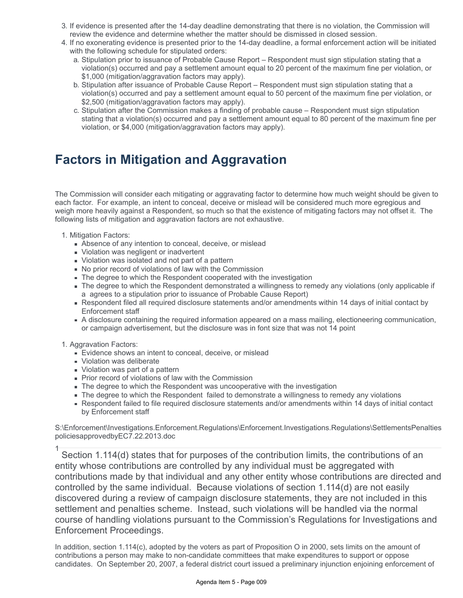- 3. If evidence is presented after the 14-day deadline demonstrating that there is no violation, the Commission will review the evidence and determine whether the matter should be dismissed in closed session.
- 4. If no exonerating evidence is presented prior to the 14-day deadline, a formal enforcement action will be initiated with the following schedule for stipulated orders:
	- a. Stipulation prior to issuance of Probable Cause Report Respondent must sign stipulation stating that a violation(s) occurred and pay a settlement amount equal to 20 percent of the maximum fine per violation, or \$1,000 (mitigation/aggravation factors may apply).
	- b. Stipulation after issuance of Probable Cause Report Respondent must sign stipulation stating that a violation(s) occurred and pay a settlement amount equal to 50 percent of the maximum fine per violation, or \$2,500 (mitigation/aggravation factors may apply).
	- c. Stipulation after the Commission makes a finding of probable cause Respondent must sign stipulation stating that a violation(s) occurred and pay a settlement amount equal to 80 percent of the maximum fine per violation, or \$4,000 (mitigation/aggravation factors may apply).

### **Factors in Mitigation and Aggravation**

The Commission will consider each mitigating or aggravating factor to determine how much weight should be given to each factor. For example, an intent to conceal, deceive or mislead will be considered much more egregious and weigh more heavily against a Respondent, so much so that the existence of mitigating factors may not offset it. The following lists of mitigation and aggravation factors are not exhaustive.

- 1. Mitigation Factors:
	- Absence of any intention to conceal, deceive, or mislead
	- **Nolation was negligent or inadvertent**
	- Violation was isolated and not part of a pattern
	- No prior record of violations of law with the Commission
	- The degree to which the Respondent cooperated with the investigation
	- The degree to which the Respondent demonstrated a willingness to remedy any violations (only applicable if a agrees to a stipulation prior to issuance of Probable Cause Report)
	- Respondent filed all required disclosure statements and/or amendments within 14 days of initial contact by Enforcement staff
	- A disclosure containing the required information appeared on a mass mailing, electioneering communication, or campaign advertisement, but the disclosure was in font size that was not 14 point

#### 1. Aggravation Factors:

- Evidence shows an intent to conceal, deceive, or mislead
- **Violation was deliberate**
- **Violation was part of a pattern**
- **Prior record of violations of law with the Commission**
- The degree to which the Respondent was uncooperative with the investigation
- The degree to which the Respondent failed to demonstrate a willingness to remedy any violations
- Respondent failed to file required disclosure statements and/or amendments within 14 days of initial contact by Enforcement staff

S:\Enforcement\Investigations.Enforcement.Regulations\Enforcement.Investigations.Regulations\SettlementsPenalties policiesapprovedbyEC7.22.2013.doc

 Section 1.114(d) states that for purposes of the contribution limits, the contributions of an entity whose contributions are controlled by any individual must be aggregated with contributions made by that individual and any other entity whose contributions are directed and controlled by the same individual. Because violations of section 1.114(d) are not easily discovered during a review of campaign disclosure statements, they are not included in this settlement and penalties scheme. Instead, such violations will be handled via the normal course of handling violations pursuant to the Commission's Regulations for Investigations and Enforcement Proceedings. 1

In addition, section 1.114(c), adopted by the voters as part of Proposition O in 2000, sets limits on the amount of contributions a person may make to non-candidate committees that make expenditures to support or oppose candidates. On September 20, 2007, a federal district court issued a preliminary injunction enjoining enforcement of